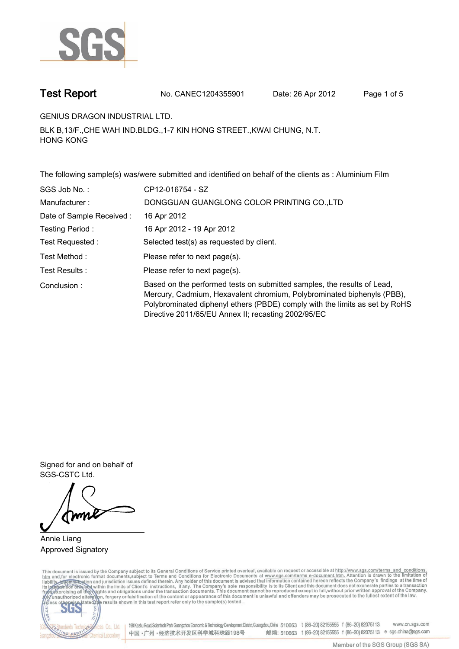

**Test Report. No. CANEC1204355901 Date: 26 Apr 2012. Page 1 of 5.**

**GENIUS DRAGON INDUSTRIAL LTD..**

**BLK B,13/F.,CHE WAH IND.BLDG.,1-7 KIN HONG STREET.,KWAI CHUNG, N.T. HONG KONG.**

**The following sample(s) was/were submitted and identified on behalf of the clients as : Aluminium Film.**

| SGS Job No.:             | CP12-016754 - SZ                                                                                                                                                                                                                                                                        |
|--------------------------|-----------------------------------------------------------------------------------------------------------------------------------------------------------------------------------------------------------------------------------------------------------------------------------------|
| Manufacturer:            | DONGGUAN GUANGLONG COLOR PRINTING CO., LTD                                                                                                                                                                                                                                              |
| Date of Sample Received: | 16 Apr 2012                                                                                                                                                                                                                                                                             |
| Testing Period:          | 16 Apr 2012 - 19 Apr 2012                                                                                                                                                                                                                                                               |
| Test Requested:          | Selected test(s) as requested by client.                                                                                                                                                                                                                                                |
| Test Method :            | Please refer to next page(s).                                                                                                                                                                                                                                                           |
| Test Results :           | Please refer to next page(s).                                                                                                                                                                                                                                                           |
| Conclusion:              | Based on the performed tests on submitted samples, the results of Lead,<br>Mercury, Cadmium, Hexavalent chromium, Polybrominated biphenyls (PBB),<br>Polybrominated diphenyl ethers (PBDE) comply with the limits as set by RoHS<br>Directive 2011/65/EU Annex II; recasting 2002/95/EC |

**Signed for and on behalf of SGS-CSTC Ltd..**

**Annie Liang. Approved Signatory.**

This document is issued by the Company subject to its General Conditions of Service printed overleaf, available on request or accessible at http://www.sgs.com/terms\_and\_conditions.<br>htm\_and, for electronic format documents,



198 Kezhu Road,Scientech Park Guangzhou Economic & Technology Development District,Guangzhou,China 510663 t (86-20) 82155555 f (86-20) 82075113 www.cn.sgs.com 邮编: 510663 t (86-20) 82155555 f (86-20) 82075113 e sgs.china@sgs.com 中国·广州·经济技术开发区科学城科珠路198号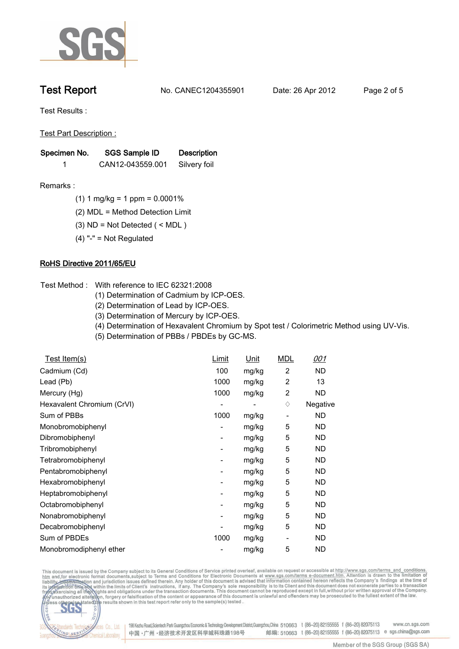

**Test Report. No. CANEC1204355901 Date: 26 Apr 2012. Page 2 of 5.**

**Test Results :.**

**Test Part Description :.**

| Specimen No. | SGS Sample ID    | <b>Description</b> |  |
|--------------|------------------|--------------------|--|
|              | CAN12-043559.001 | Silvery foil       |  |

- **Remarks :.(1) 1 mg/kg = 1 ppm = 0.0001%.**
	- **(2) MDL = Method Detection Limit.**
	- **(3) ND = Not Detected ( < MDL ).**
	- **(4) "-" = Not Regulated.**

## **RoHS Directive 2011/65/EU.**

- **Test Method :. With reference to IEC 62321:2008**
	- **(1) Determination of Cadmium by ICP-OES.**
	- **(2) Determination of Lead by ICP-OES.**
	- **(3) Determination of Mercury by ICP-OES.**
	- **(4) Determination of Hexavalent Chromium by Spot test / Colorimetric Method using UV-Vis.**
	- **(5) Determination of PBBs / PBDEs by GC-MS..**

| <u>Test Item(s)</u>        | <u>Limit</u> | <u>Unit</u> | <b>MDL</b>     | <u>001</u> |
|----------------------------|--------------|-------------|----------------|------------|
| Cadmium (Cd)               | 100          | mg/kg       | 2              | <b>ND</b>  |
| Lead (Pb)                  | 1000         | mg/kg       | $\overline{2}$ | 13         |
| Mercury (Hg)               | 1000         | mg/kg       | $\overline{2}$ | <b>ND</b>  |
| Hexavalent Chromium (CrVI) |              |             | ♦              | Negative   |
| Sum of PBBs                | 1000         | mg/kg       | ٠              | ND         |
| Monobromobiphenyl          | -            | mg/kg       | 5              | ND         |
| Dibromobiphenyl            | -            | mg/kg       | 5              | ND         |
| Tribromobiphenyl           | -            | mg/kg       | 5              | ND         |
| Tetrabromobiphenyl         | -            | mg/kg       | 5              | ND         |
| Pentabromobiphenyl         | -            | mg/kg       | 5              | ND         |
| Hexabromobiphenyl          | -            | mg/kg       | 5              | ND         |
| Heptabromobiphenyl         | ۰            | mg/kg       | 5              | ND         |
| Octabromobiphenyl          | -            | mg/kg       | 5              | ND         |
| Nonabromobiphenyl          | ۰            | mg/kg       | 5              | ND         |
| Decabromobiphenyl          |              | mg/kg       | 5              | <b>ND</b>  |
| Sum of PBDEs               | 1000         | mg/kg       | -              | ND         |
| Monobromodiphenyl ether    |              | mg/kg       | 5              | <b>ND</b>  |

This document is issued by the Company subject to its General Conditions of Service printed overleaf, available on request or accessible at http://www.sgs.com/terms\_and\_conditions.<br>htm\_and,for electronic format documents,s



198 Kezhu Road,Scientech Park Guangzhou Economic & Technology Development District,Guangzhou,China 510663 t (86-20) 82155555 f (86-20) 82075113 www.cn.sgs.com 邮编: 510663 t (86-20) 82155555 f (86-20) 82075113 e sgs.china@sgs.com 中国·广州·经济技术开发区科学城科珠路198号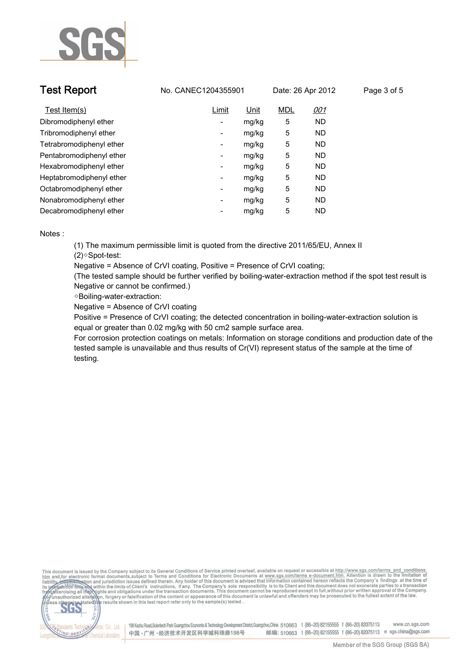

| <b>Test Report</b>       | No. CANEC1204355901      |       | Date: 26 Apr 2012 |            | Page 3 of 5 |
|--------------------------|--------------------------|-------|-------------------|------------|-------------|
| Test Item(s)             | Limit                    | Unit  | <b>MDL</b>        | <u>001</u> |             |
| Dibromodiphenyl ether    | $\sim$                   | mg/kg | 5                 | ND.        |             |
| Tribromodiphenyl ether   | ۰.                       | mg/kg | 5                 | ND.        |             |
| Tetrabromodiphenyl ether | ۰.                       | mg/kg | 5                 | ND.        |             |
| Pentabromodiphenyl ether | ۰.                       | mg/kg | 5                 | ND.        |             |
| Hexabromodiphenyl ether  | ۰.                       | mg/kg | 5                 | ND.        |             |
| Heptabromodiphenyl ether | ۰.                       | mg/kg | 5                 | ND.        |             |
| Octabromodiphenyl ether  | $\overline{\phantom{a}}$ | mg/kg | 5                 | ND.        |             |
| Nonabromodiphenyl ether  | ۰.                       | mg/kg | 5                 | ND.        |             |
| Decabromodiphenyl ether  | -                        | mg/kg | 5                 | ND.        |             |

**Notes :.**

**VG SER** 

**(1) The maximum permissible limit is quoted from the directive 2011/65/EU, Annex II (2)◇Spot-test:** 

**Negative = Absence of CrVI coating, Positive = Presence of CrVI coating;** 

**(The tested sample should be further verified by boiling-water-extraction method if the spot test result is Negative or cannot be confirmed.)**

**◇Boiling-water-extraction:** 

**Negative = Absence of CrVI coating**

**Positive = Presence of CrVI coating; the detected concentration in boiling-water-extraction solution is equal or greater than 0.02 mg/kg with 50 cm2 sample surface area.**

**For corrosion protection coatings on metals: Information on storage conditions and production date of the tested sample is unavailable and thus results of Cr(VI) represent status of the sample at the time of testing..**



198 Kezhu Road,Scientech Park Guangzhou Economic & Technology Development District,Guangzhou,China 510663 t (86-20) 82155555 f (86-20) 82075113 www.cn.sgs.com vices Co., Ltd. 邮编: 510663 t (86-20) 82155555 f (86-20) 82075113 e sgs.china@sgs.com 中国·广州·经济技术开发区科学城科珠路198号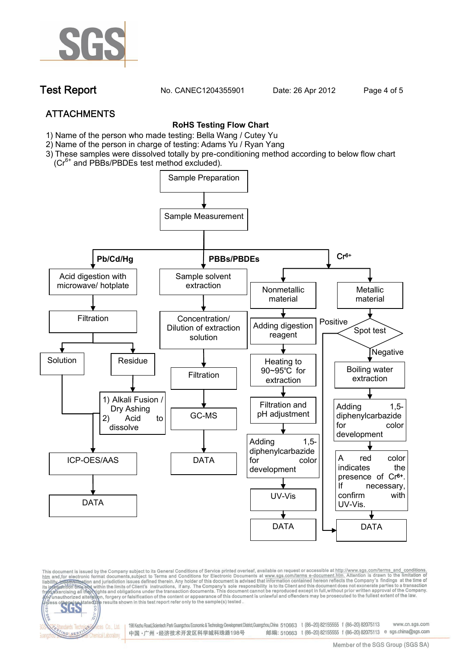

**Test Report. No. CANEC1204355901 Date: 26 Apr 2012. Page 4 of 5.**

# **ATTACHMENTS**

fices Co., Ltd.

Chemical Laboratory

NG SER

### **RoHS Testing Flow Chart**

- **1)** Name of the person who made testing: Bella Wang / **Cutey Yu**
- 2) Name of the person in charge of testing: Adams Yu / **Ryan Yang**
- 3) These samples were dissolved totally by pre-conditioning method according to below flow chart (Cr<sup>6+</sup> and PBBs/PBDEs test method excluded).



This document is issued by the Company subject to its General Conditions of Service printed overleaf, available on request or accessible at http://www.sgs.com/terms\_and\_conditions.<br>htm\_and,for electronic format documents,s

198 Kezhu Road,Scientech Park Guangzhou Economic & Technology Development District,Guangzhou,China 510663 t (86-20) 82155555 f (86-20) 82075113 www.cn.sas.com 邮编: 510663 t (86-20) 82155555 f (86-20) 82075113 e sgs.china@sgs.com 中国·广州·经济技术开发区科学城科珠路198号